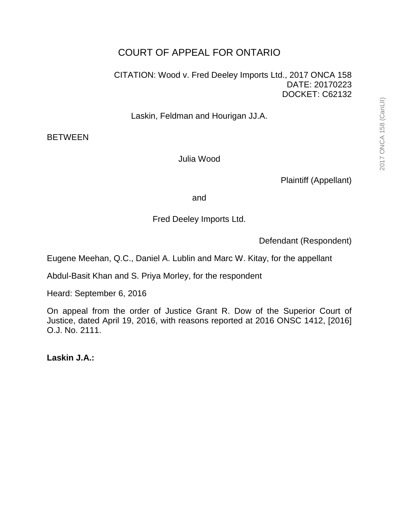# COURT OF APPEAL FOR ONTARIO

CITATION: Wood v. Fred Deeley Imports Ltd., 2017 ONCA 158 DATE: 20170223 DOCKET: C62132

Laskin, Feldman and Hourigan JJ.A.

BETWEEN

Julia Wood

Plaintiff (Appellant)

and

Fred Deeley Imports Ltd.

Defendant (Respondent)

Eugene Meehan, Q.C., Daniel A. Lublin and Marc W. Kitay, for the appellant

Abdul-Basit Khan and S. Priya Morley, for the respondent

Heard: September 6, 2016

On appeal from the order of Justice Grant R. Dow of the Superior Court of Justice, dated April 19, 2016, with reasons reported at 2016 ONSC 1412, [2016] O.J. No. 2111.

**Laskin J.A.:**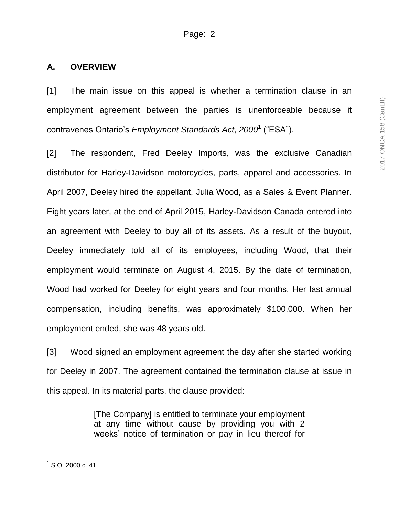#### **A. OVERVIEW**

[1] The main issue on this appeal is whether a termination clause in an employment agreement between the parties is unenforceable because it contravenes Ontario's *Employment Standards Act*, *2000*<sup>1</sup> ("ESA").

[2] The respondent, Fred Deeley Imports, was the exclusive Canadian distributor for Harley-Davidson motorcycles, parts, apparel and accessories. In April 2007, Deeley hired the appellant, Julia Wood, as a Sales & Event Planner. Eight years later, at the end of April 2015, Harley-Davidson Canada entered into an agreement with Deeley to buy all of its assets. As a result of the buyout, Deeley immediately told all of its employees, including Wood, that their employment would terminate on August 4, 2015. By the date of termination, Wood had worked for Deeley for eight years and four months. Her last annual compensation, including benefits, was approximately \$100,000. When her employment ended, she was 48 years old.

[3] Wood signed an employment agreement the day after she started working for Deeley in 2007. The agreement contained the termination clause at issue in this appeal. In its material parts, the clause provided:

> [The Company] is entitled to terminate your employment at any time without cause by providing you with 2 weeks' notice of termination or pay in lieu thereof for

l

 $1$  S.O. 2000 c. 41.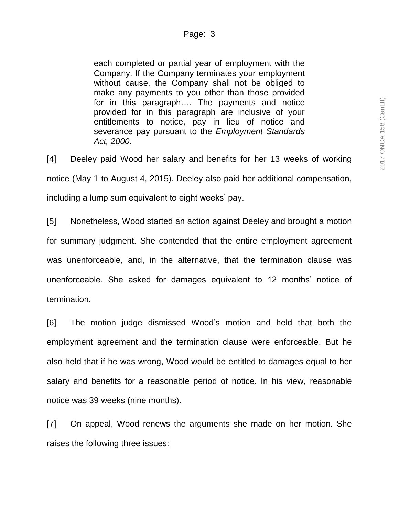each completed or partial year of employment with the Company. If the Company terminates your employment without cause, the Company shall not be obliged to make any payments to you other than those provided for in this paragraph…. The payments and notice provided for in this paragraph are inclusive of your entitlements to notice, pay in lieu of notice and severance pay pursuant to the *Employment Standards Act, 2000*.

[4] Deeley paid Wood her salary and benefits for her 13 weeks of working notice (May 1 to August 4, 2015). Deeley also paid her additional compensation, including a lump sum equivalent to eight weeks' pay.

[5] Nonetheless, Wood started an action against Deeley and brought a motion for summary judgment. She contended that the entire employment agreement was unenforceable, and, in the alternative, that the termination clause was unenforceable. She asked for damages equivalent to 12 months' notice of termination.

[6] The motion judge dismissed Wood's motion and held that both the employment agreement and the termination clause were enforceable. But he also held that if he was wrong, Wood would be entitled to damages equal to her salary and benefits for a reasonable period of notice. In his view, reasonable notice was 39 weeks (nine months).

[7] On appeal, Wood renews the arguments she made on her motion. She raises the following three issues: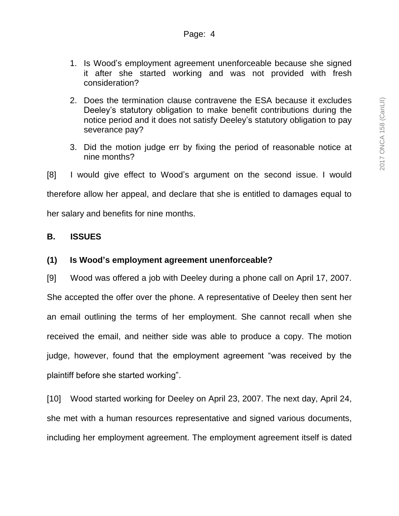- 1. Is Wood's employment agreement unenforceable because she signed it after she started working and was not provided with fresh consideration?
- 2. Does the termination clause contravene the ESA because it excludes Deeley's statutory obligation to make benefit contributions during the notice period and it does not satisfy Deeley's statutory obligation to pay severance pay?
- 3. Did the motion judge err by fixing the period of reasonable notice at nine months?
- [8] I would give effect to Wood's argument on the second issue. I would

therefore allow her appeal, and declare that she is entitled to damages equal to

her salary and benefits for nine months.

#### **B. ISSUES**

### **(1) Is Wood's employment agreement unenforceable?**

[9] Wood was offered a job with Deeley during a phone call on April 17, 2007. She accepted the offer over the phone. A representative of Deeley then sent her an email outlining the terms of her employment. She cannot recall when she received the email, and neither side was able to produce a copy. The motion judge, however, found that the employment agreement "was received by the plaintiff before she started working".

[10] Wood started working for Deeley on April 23, 2007. The next day, April 24, she met with a human resources representative and signed various documents, including her employment agreement. The employment agreement itself is dated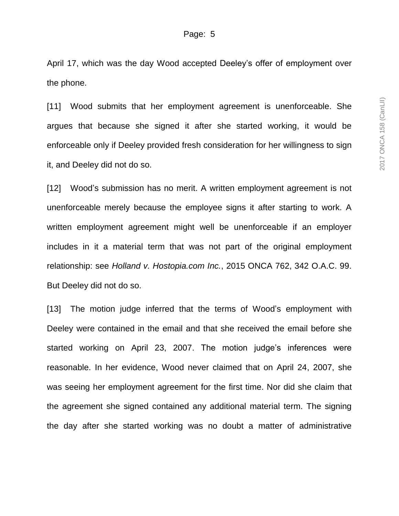April 17, which was the day Wood accepted Deeley's offer of employment over the phone.

[11] Wood submits that her employment agreement is unenforceable. She argues that because she signed it after she started working, it would be enforceable only if Deeley provided fresh consideration for her willingness to sign it, and Deeley did not do so.

[12] Wood's submission has no merit. A written employment agreement is not unenforceable merely because the employee signs it after starting to work. A written employment agreement might well be unenforceable if an employer includes in it a material term that was not part of the original employment relationship: see *Holland v. Hostopia.com Inc.*, 2015 ONCA 762, 342 O.A.C. 99. But Deeley did not do so.

[13] The motion judge inferred that the terms of Wood's employment with Deeley were contained in the email and that she received the email before she started working on April 23, 2007. The motion judge's inferences were reasonable. In her evidence, Wood never claimed that on April 24, 2007, she was seeing her employment agreement for the first time. Nor did she claim that the agreement she signed contained any additional material term. The signing the day after she started working was no doubt a matter of administrative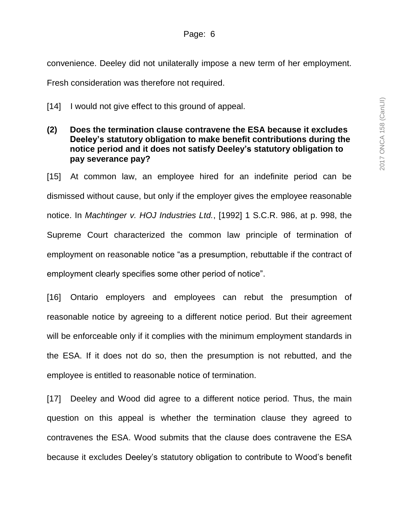### Page: 6

convenience. Deeley did not unilaterally impose a new term of her employment.

Fresh consideration was therefore not required.

- [14] I would not give effect to this ground of appeal.
- **(2) Does the termination clause contravene the ESA because it excludes Deeley's statutory obligation to make benefit contributions during the notice period and it does not satisfy Deeley's statutory obligation to pay severance pay?**

[15] At common law, an employee hired for an indefinite period can be dismissed without cause, but only if the employer gives the employee reasonable notice. In *Machtinger v. HOJ Industries Ltd.*, [1992] 1 S.C.R. 986, at p. 998, the Supreme Court characterized the common law principle of termination of employment on reasonable notice "as a presumption, rebuttable if the contract of employment clearly specifies some other period of notice".

[16] Ontario employers and employees can rebut the presumption of reasonable notice by agreeing to a different notice period. But their agreement will be enforceable only if it complies with the minimum employment standards in the ESA. If it does not do so, then the presumption is not rebutted, and the employee is entitled to reasonable notice of termination.

[17] Deeley and Wood did agree to a different notice period. Thus, the main question on this appeal is whether the termination clause they agreed to contravenes the ESA. Wood submits that the clause does contravene the ESA because it excludes Deeley's statutory obligation to contribute to Wood's benefit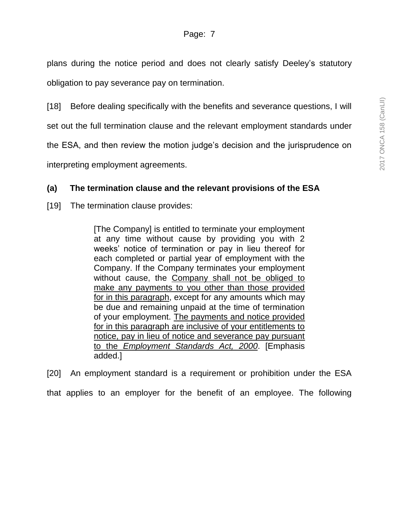plans during the notice period and does not clearly satisfy Deeley's statutory obligation to pay severance pay on termination.

[18] Before dealing specifically with the benefits and severance questions, I will

set out the full termination clause and the relevant employment standards under

the ESA, and then review the motion judge's decision and the jurisprudence on

interpreting employment agreements.

# **(a) The termination clause and the relevant provisions of the ESA**

[19] The termination clause provides:

[The Company] is entitled to terminate your employment at any time without cause by providing you with 2 weeks' notice of termination or pay in lieu thereof for each completed or partial year of employment with the Company. If the Company terminates your employment without cause, the Company shall not be obliged to make any payments to you other than those provided for in this paragraph, except for any amounts which may be due and remaining unpaid at the time of termination of your employment. The payments and notice provided for in this paragraph are inclusive of your entitlements to notice, pay in lieu of notice and severance pay pursuant to the *Employment Standards Act, 2000*. [Emphasis added.]

[20] An employment standard is a requirement or prohibition under the ESA that applies to an employer for the benefit of an employee. The following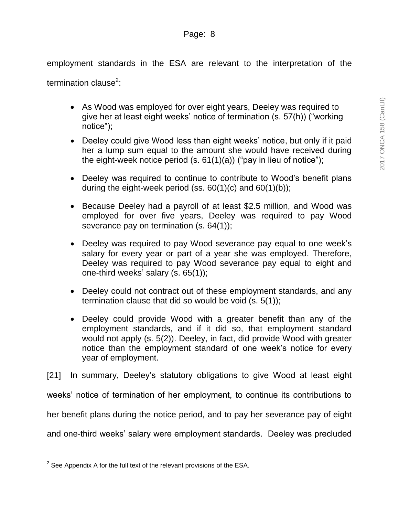employment standards in the ESA are relevant to the interpretation of the

termination clause<sup>2</sup>:

- As Wood was employed for over eight years, Deeley was required to give her at least eight weeks' notice of termination (s. 57(h)) ("working notice");
- Deeley could give Wood less than eight weeks' notice, but only if it paid her a lump sum equal to the amount she would have received during the eight-week notice period  $(s. 61(1)(a))$  ("pay in lieu of notice");
- Deeley was required to continue to contribute to Wood's benefit plans during the eight-week period (ss.  $60(1)(c)$  and  $60(1)(b)$ );
- Because Deeley had a payroll of at least \$2.5 million, and Wood was employed for over five years, Deeley was required to pay Wood severance pay on termination (s. 64(1));
- Deeley was required to pay Wood severance pay equal to one week's salary for every year or part of a year she was employed. Therefore, Deeley was required to pay Wood severance pay equal to eight and one-third weeks' salary (s. 65(1));
- Deeley could not contract out of these employment standards, and any termination clause that did so would be void (s. 5(1));
- Deeley could provide Wood with a greater benefit than any of the employment standards, and if it did so, that employment standard would not apply (s. 5(2)). Deeley, in fact, did provide Wood with greater notice than the employment standard of one week's notice for every year of employment.

[21] In summary, Deeley's statutory obligations to give Wood at least eight

weeks' notice of termination of her employment, to continue its contributions to

her benefit plans during the notice period, and to pay her severance pay of eight

and one-third weeks' salary were employment standards. Deeley was precluded

l

 $2$  See Appendix A for the full text of the relevant provisions of the ESA.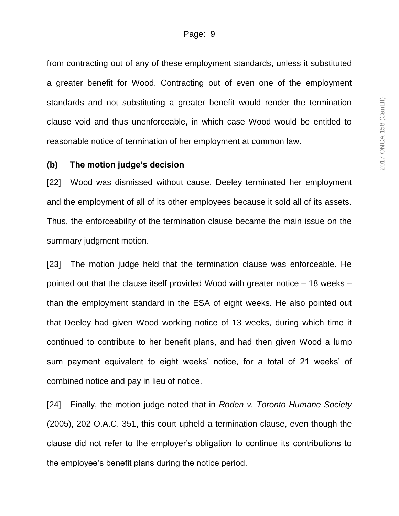from contracting out of any of these employment standards, unless it substituted a greater benefit for Wood. Contracting out of even one of the employment standards and not substituting a greater benefit would render the termination clause void and thus unenforceable, in which case Wood would be entitled to reasonable notice of termination of her employment at common law.

#### **(b) The motion judge's decision**

[22] Wood was dismissed without cause. Deeley terminated her employment and the employment of all of its other employees because it sold all of its assets. Thus, the enforceability of the termination clause became the main issue on the summary judgment motion.

[23] The motion judge held that the termination clause was enforceable. He pointed out that the clause itself provided Wood with greater notice – 18 weeks – than the employment standard in the ESA of eight weeks. He also pointed out that Deeley had given Wood working notice of 13 weeks, during which time it continued to contribute to her benefit plans, and had then given Wood a lump sum payment equivalent to eight weeks' notice, for a total of 21 weeks' of combined notice and pay in lieu of notice.

[24] Finally, the motion judge noted that in *Roden v. Toronto Humane Society* (2005), 202 O.A.C. 351, this court upheld a termination clause, even though the clause did not refer to the employer's obligation to continue its contributions to the employee's benefit plans during the notice period.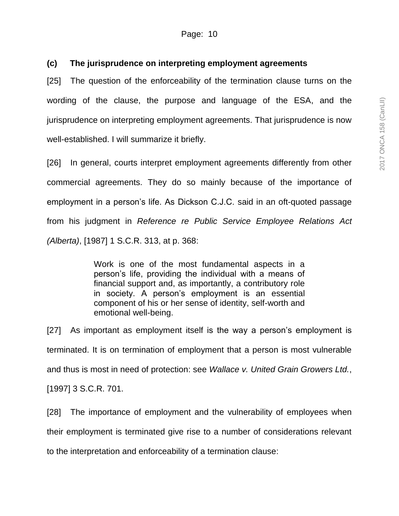# **(c) The jurisprudence on interpreting employment agreements**

[25] The question of the enforceability of the termination clause turns on the wording of the clause, the purpose and language of the ESA, and the jurisprudence on interpreting employment agreements. That jurisprudence is now well-established. I will summarize it briefly.

[26] In general, courts interpret employment agreements differently from other commercial agreements. They do so mainly because of the importance of employment in a person's life. As Dickson C.J.C. said in an oft-quoted passage from his judgment in *Reference re Public Service Employee Relations Act (Alberta)*, [1987] 1 S.C.R. 313, at p. 368:

> Work is one of the most fundamental aspects in a person's life, providing the individual with a means of financial support and, as importantly, a contributory role in society. A person's employment is an essential component of his or her sense of identity, self-worth and emotional well-being.

[27] As important as employment itself is the way a person's employment is terminated. It is on termination of employment that a person is most vulnerable and thus is most in need of protection: see *Wallace v. United Grain Growers Ltd.*, [1997] 3 S.C.R. 701.

[28] The importance of employment and the vulnerability of employees when their employment is terminated give rise to a number of considerations relevant to the interpretation and enforceability of a termination clause: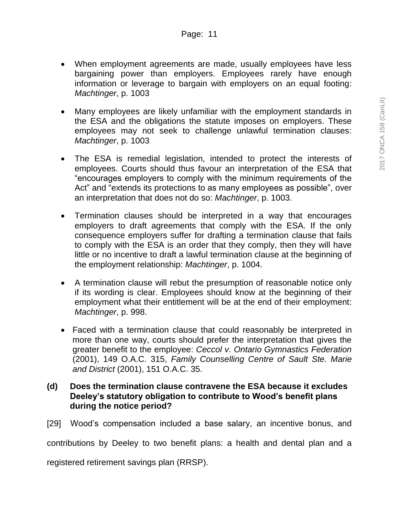- When employment agreements are made, usually employees have less bargaining power than employers. Employees rarely have enough information or leverage to bargain with employers on an equal footing: *Machtinger*, p. 1003
- Many employees are likely unfamiliar with the employment standards in the ESA and the obligations the statute imposes on employers. These employees may not seek to challenge unlawful termination clauses: *Machtinger*, p. 1003
- The ESA is remedial legislation, intended to protect the interests of employees. Courts should thus favour an interpretation of the ESA that "encourages employers to comply with the minimum requirements of the Act" and "extends its protections to as many employees as possible", over an interpretation that does not do so: *Machtinger*, p. 1003.
- Termination clauses should be interpreted in a way that encourages employers to draft agreements that comply with the ESA. If the only consequence employers suffer for drafting a termination clause that fails to comply with the ESA is an order that they comply, then they will have little or no incentive to draft a lawful termination clause at the beginning of the employment relationship: *Machtinger*, p. 1004.
- A termination clause will rebut the presumption of reasonable notice only if its wording is clear. Employees should know at the beginning of their employment what their entitlement will be at the end of their employment: *Machtinger*, p. 998.
- Faced with a termination clause that could reasonably be interpreted in more than one way, courts should prefer the interpretation that gives the greater benefit to the employee: *Ceccol v. Ontario Gymnastics Federation* (2001), 149 O.A.C. 315, *Family Counselling Centre of Sault Ste. Marie and District* (2001), 151 O.A.C. 35.

# **(d) Does the termination clause contravene the ESA because it excludes Deeley's statutory obligation to contribute to Wood's benefit plans during the notice period?**

[29] Wood's compensation included a base salary, an incentive bonus, and

contributions by Deeley to two benefit plans: a health and dental plan and a

registered retirement savings plan (RRSP).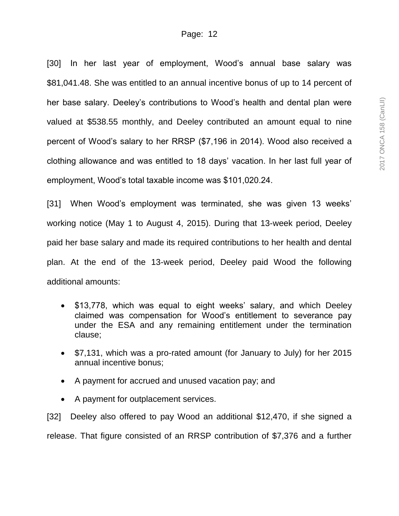[30] In her last year of employment, Wood's annual base salary was \$81,041.48. She was entitled to an annual incentive bonus of up to 14 percent of her base salary. Deeley's contributions to Wood's health and dental plan were valued at \$538.55 monthly, and Deeley contributed an amount equal to nine percent of Wood's salary to her RRSP (\$7,196 in 2014). Wood also received a clothing allowance and was entitled to 18 days' vacation. In her last full year of employment, Wood's total taxable income was \$101,020.24.

[31] When Wood's employment was terminated, she was given 13 weeks' working notice (May 1 to August 4, 2015). During that 13-week period, Deeley paid her base salary and made its required contributions to her health and dental plan. At the end of the 13-week period, Deeley paid Wood the following additional amounts:

- \$13,778, which was equal to eight weeks' salary, and which Deeley claimed was compensation for Wood's entitlement to severance pay under the ESA and any remaining entitlement under the termination clause;
- \$7,131, which was a pro-rated amount (for January to July) for her 2015 annual incentive bonus;
- A payment for accrued and unused vacation pay; and
- A payment for outplacement services.

[32] Deeley also offered to pay Wood an additional \$12,470, if she signed a release. That figure consisted of an RRSP contribution of \$7,376 and a further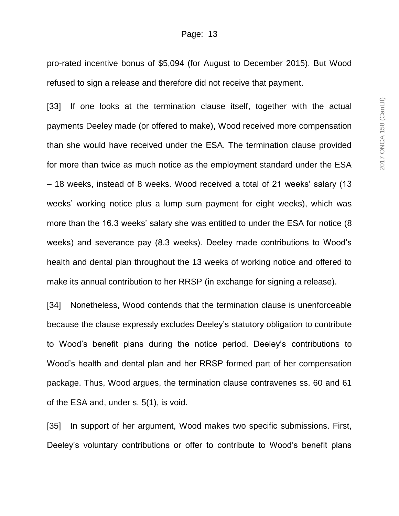pro-rated incentive bonus of \$5,094 (for August to December 2015). But Wood refused to sign a release and therefore did not receive that payment.

[33] If one looks at the termination clause itself, together with the actual payments Deeley made (or offered to make), Wood received more compensation than she would have received under the ESA. The termination clause provided for more than twice as much notice as the employment standard under the ESA – 18 weeks, instead of 8 weeks. Wood received a total of 21 weeks' salary (13 weeks' working notice plus a lump sum payment for eight weeks), which was more than the 16.3 weeks' salary she was entitled to under the ESA for notice (8 weeks) and severance pay (8.3 weeks). Deeley made contributions to Wood's health and dental plan throughout the 13 weeks of working notice and offered to make its annual contribution to her RRSP (in exchange for signing a release).

[34] Nonetheless, Wood contends that the termination clause is unenforceable because the clause expressly excludes Deeley's statutory obligation to contribute to Wood's benefit plans during the notice period. Deeley's contributions to Wood's health and dental plan and her RRSP formed part of her compensation package. Thus, Wood argues, the termination clause contravenes ss. 60 and 61 of the ESA and, under s. 5(1), is void.

[35] In support of her argument, Wood makes two specific submissions. First, Deeley's voluntary contributions or offer to contribute to Wood's benefit plans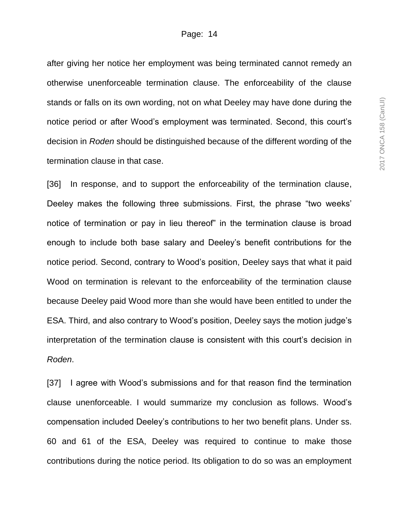after giving her notice her employment was being terminated cannot remedy an otherwise unenforceable termination clause. The enforceability of the clause stands or falls on its own wording, not on what Deeley may have done during the notice period or after Wood's employment was terminated. Second, this court's decision in *Roden* should be distinguished because of the different wording of the termination clause in that case.

[36] In response, and to support the enforceability of the termination clause, Deeley makes the following three submissions. First, the phrase "two weeks' notice of termination or pay in lieu thereof" in the termination clause is broad enough to include both base salary and Deeley's benefit contributions for the notice period. Second, contrary to Wood's position, Deeley says that what it paid Wood on termination is relevant to the enforceability of the termination clause because Deeley paid Wood more than she would have been entitled to under the ESA. Third, and also contrary to Wood's position, Deeley says the motion judge's interpretation of the termination clause is consistent with this court's decision in *Roden*.

[37] I agree with Wood's submissions and for that reason find the termination clause unenforceable. I would summarize my conclusion as follows. Wood's compensation included Deeley's contributions to her two benefit plans. Under ss. 60 and 61 of the ESA, Deeley was required to continue to make those contributions during the notice period. Its obligation to do so was an employment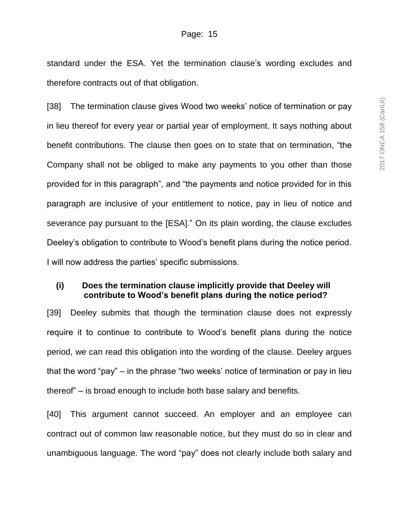standard under the ESA. Yet the termination clause's wording excludes and therefore contracts out of that obligation.

[38] The termination clause gives Wood two weeks' notice of termination or pay in lieu thereof for every year or partial year of employment. It says nothing about benefit contributions. The clause then goes on to state that on termination, "the Company shall not be obliged to make any payments to you other than those provided for in this paragraph", and "the payments and notice provided for in this paragraph are inclusive of your entitlement to notice, pay in lieu of notice and severance pay pursuant to the [ESA]." On its plain wording, the clause excludes Deeley's obligation to contribute to Wood's benefit plans during the notice period. I will now address the parties' specific submissions.

#### **(i) Does the termination clause implicitly provide that Deeley will contribute to Wood's benefit plans during the notice period?**

[39] Deeley submits that though the termination clause does not expressly require it to continue to contribute to Wood's benefit plans during the notice period, we can read this obligation into the wording of the clause. Deeley argues that the word "pay" – in the phrase "two weeks' notice of termination or pay in lieu thereof" – is broad enough to include both base salary and benefits.

[40] This argument cannot succeed. An employer and an employee can contract out of common law reasonable notice, but they must do so in clear and unambiguous language. The word "pay" does not clearly include both salary and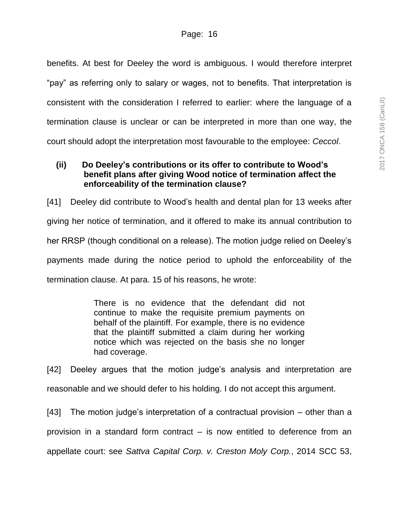benefits. At best for Deeley the word is ambiguous. I would therefore interpret "pay" as referring only to salary or wages, not to benefits. That interpretation is consistent with the consideration I referred to earlier: where the language of a termination clause is unclear or can be interpreted in more than one way, the court should adopt the interpretation most favourable to the employee: *Ceccol*.

# **(ii) Do Deeley's contributions or its offer to contribute to Wood's benefit plans after giving Wood notice of termination affect the enforceability of the termination clause?**

[41] Deeley did contribute to Wood's health and dental plan for 13 weeks after giving her notice of termination, and it offered to make its annual contribution to her RRSP (though conditional on a release). The motion judge relied on Deeley's payments made during the notice period to uphold the enforceability of the termination clause. At para. 15 of his reasons, he wrote:

> There is no evidence that the defendant did not continue to make the requisite premium payments on behalf of the plaintiff. For example, there is no evidence that the plaintiff submitted a claim during her working notice which was rejected on the basis she no longer had coverage.

[42] Deeley argues that the motion judge's analysis and interpretation are reasonable and we should defer to his holding. I do not accept this argument.

[43] The motion judge's interpretation of a contractual provision – other than a provision in a standard form contract – is now entitled to deference from an appellate court: see *Sattva Capital Corp. v. Creston Moly Corp.*, 2014 SCC 53,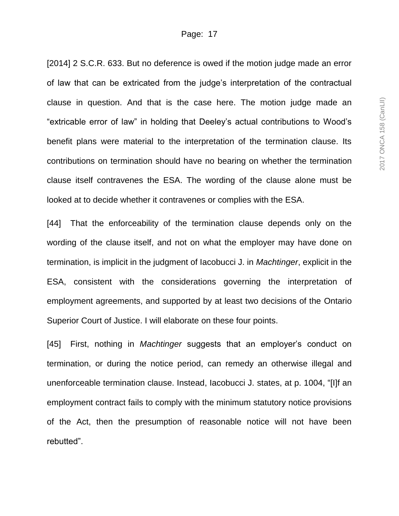[2014] 2 S.C.R. 633. But no deference is owed if the motion judge made an error of law that can be extricated from the judge's interpretation of the contractual clause in question. And that is the case here. The motion judge made an "extricable error of law" in holding that Deeley's actual contributions to Wood's benefit plans were material to the interpretation of the termination clause. Its contributions on termination should have no bearing on whether the termination clause itself contravenes the ESA. The wording of the clause alone must be looked at to decide whether it contravenes or complies with the ESA.

[44] That the enforceability of the termination clause depends only on the wording of the clause itself, and not on what the employer may have done on termination, is implicit in the judgment of Iacobucci J. in *Machtinger*, explicit in the ESA, consistent with the considerations governing the interpretation of employment agreements, and supported by at least two decisions of the Ontario Superior Court of Justice. I will elaborate on these four points.

[45] First, nothing in *Machtinger* suggests that an employer's conduct on termination, or during the notice period, can remedy an otherwise illegal and unenforceable termination clause. Instead, Iacobucci J. states, at p. 1004, "[I]f an employment contract fails to comply with the minimum statutory notice provisions of the Act, then the presumption of reasonable notice will not have been rebutted".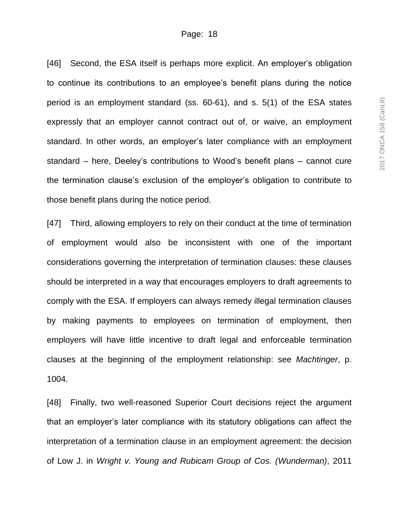[46] Second, the ESA itself is perhaps more explicit. An employer's obligation to continue its contributions to an employee's benefit plans during the notice period is an employment standard (ss. 60-61), and s. 5(1) of the ESA states expressly that an employer cannot contract out of, or waive, an employment standard. In other words, an employer's later compliance with an employment standard – here, Deeley's contributions to Wood's benefit plans – cannot cure the termination clause's exclusion of the employer's obligation to contribute to those benefit plans during the notice period.

[47] Third, allowing employers to rely on their conduct at the time of termination of employment would also be inconsistent with one of the important considerations governing the interpretation of termination clauses: these clauses should be interpreted in a way that encourages employers to draft agreements to comply with the ESA. If employers can always remedy illegal termination clauses by making payments to employees on termination of employment, then employers will have little incentive to draft legal and enforceable termination clauses at the beginning of the employment relationship: see *Machtinger*, p. 1004.

[48] Finally, two well-reasoned Superior Court decisions reject the argument that an employer's later compliance with its statutory obligations can affect the interpretation of a termination clause in an employment agreement: the decision of Low J. in *Wright v. Young and Rubicam Group of Cos. (Wunderman)*, 2011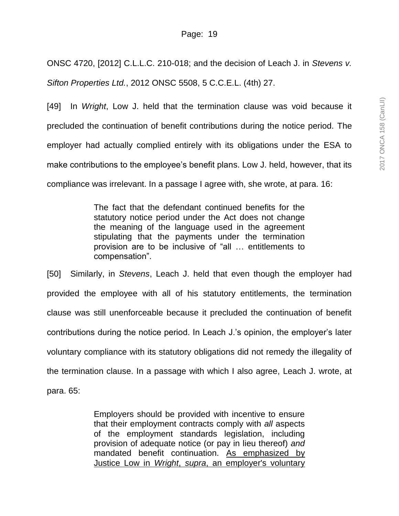ONSC 4720, [2012] C.L.L.C. 210-018; and the decision of Leach J. in *Stevens v. Sifton Properties Ltd.*, 2012 ONSC 5508, 5 C.C.E.L. (4th) 27.

[49] In *Wright*, Low J. held that the termination clause was void because it precluded the continuation of benefit contributions during the notice period. The employer had actually complied entirely with its obligations under the ESA to make contributions to the employee's benefit plans. Low J. held, however, that its compliance was irrelevant. In a passage I agree with, she wrote, at para. 16:

> The fact that the defendant continued benefits for the statutory notice period under the Act does not change the meaning of the language used in the agreement stipulating that the payments under the termination provision are to be inclusive of "all … entitlements to compensation".

[50] Similarly, in *Stevens*, Leach J. held that even though the employer had provided the employee with all of his statutory entitlements, the termination clause was still unenforceable because it precluded the continuation of benefit contributions during the notice period. In Leach J.'s opinion, the employer's later voluntary compliance with its statutory obligations did not remedy the illegality of the termination clause. In a passage with which I also agree, Leach J. wrote, at para. 65:

> Employers should be provided with incentive to ensure that their employment contracts comply with *all* aspects of the employment standards legislation, including provision of adequate notice (or pay in lieu thereof) *and* mandated benefit continuation. As emphasized by Justice Low in *Wright*, *supra*, an employer's voluntary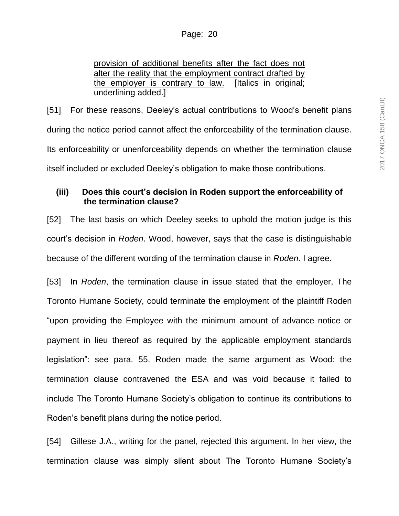provision of additional benefits after the fact does not alter the reality that the employment contract drafted by the employer is contrary to law. [Italics in original; underlining added.]

[51] For these reasons, Deeley's actual contributions to Wood's benefit plans during the notice period cannot affect the enforceability of the termination clause. Its enforceability or unenforceability depends on whether the termination clause itself included or excluded Deeley's obligation to make those contributions.

## **(iii) Does this court's decision in Roden support the enforceability of the termination clause?**

[52] The last basis on which Deeley seeks to uphold the motion judge is this court's decision in *Roden*. Wood, however, says that the case is distinguishable because of the different wording of the termination clause in *Roden*. I agree.

[53] In *Roden*, the termination clause in issue stated that the employer, The Toronto Humane Society, could terminate the employment of the plaintiff Roden "upon providing the Employee with the minimum amount of advance notice or payment in lieu thereof as required by the applicable employment standards legislation": see para. 55. Roden made the same argument as Wood: the termination clause contravened the ESA and was void because it failed to include The Toronto Humane Society's obligation to continue its contributions to Roden's benefit plans during the notice period.

[54] Gillese J.A., writing for the panel, rejected this argument. In her view, the termination clause was simply silent about The Toronto Humane Society's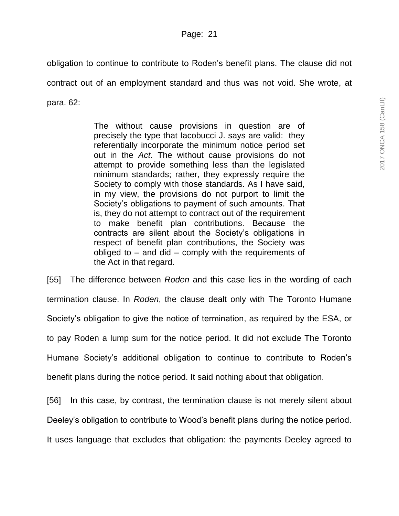obligation to continue to contribute to Roden's benefit plans. The clause did not contract out of an employment standard and thus was not void. She wrote, at para. 62:

> The without cause provisions in question are of precisely the type that Iacobucci J. says are valid: they referentially incorporate the minimum notice period set out in the *Act*. The without cause provisions do not attempt to provide something less than the legislated minimum standards; rather, they expressly require the Society to comply with those standards. As I have said, in my view, the provisions do not purport to limit the Society's obligations to payment of such amounts. That is, they do not attempt to contract out of the requirement to make benefit plan contributions. Because the contracts are silent about the Society's obligations in respect of benefit plan contributions, the Society was obliged to  $-$  and did  $-$  comply with the requirements of the Act in that regard.

[55] The difference between *Roden* and this case lies in the wording of each termination clause. In *Roden*, the clause dealt only with The Toronto Humane Society's obligation to give the notice of termination, as required by the ESA, or to pay Roden a lump sum for the notice period. It did not exclude The Toronto Humane Society's additional obligation to continue to contribute to Roden's benefit plans during the notice period. It said nothing about that obligation.

[56] In this case, by contrast, the termination clause is not merely silent about Deeley's obligation to contribute to Wood's benefit plans during the notice period.

It uses language that excludes that obligation: the payments Deeley agreed to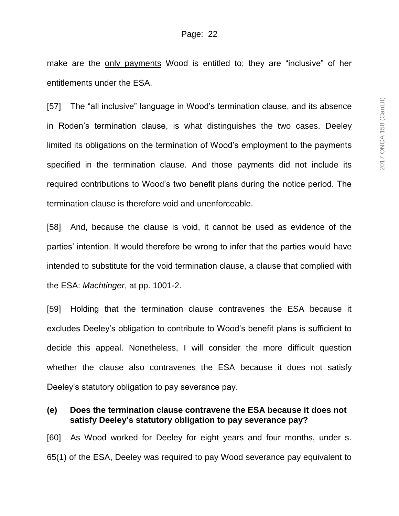make are the only payments Wood is entitled to; they are "inclusive" of her entitlements under the ESA.

[57] The "all inclusive" language in Wood's termination clause, and its absence in Roden's termination clause, is what distinguishes the two cases. Deeley limited its obligations on the termination of Wood's employment to the payments specified in the termination clause. And those payments did not include its required contributions to Wood's two benefit plans during the notice period. The termination clause is therefore void and unenforceable.

[58] And, because the clause is void, it cannot be used as evidence of the parties' intention. It would therefore be wrong to infer that the parties would have intended to substitute for the void termination clause, a clause that complied with the ESA: *Machtinger*, at pp. 1001-2.

[59] Holding that the termination clause contravenes the ESA because it excludes Deeley's obligation to contribute to Wood's benefit plans is sufficient to decide this appeal. Nonetheless, I will consider the more difficult question whether the clause also contravenes the ESA because it does not satisfy Deeley's statutory obligation to pay severance pay.

#### **(e) Does the termination clause contravene the ESA because it does not satisfy Deeley's statutory obligation to pay severance pay?**

[60] As Wood worked for Deeley for eight years and four months, under s. 65(1) of the ESA, Deeley was required to pay Wood severance pay equivalent to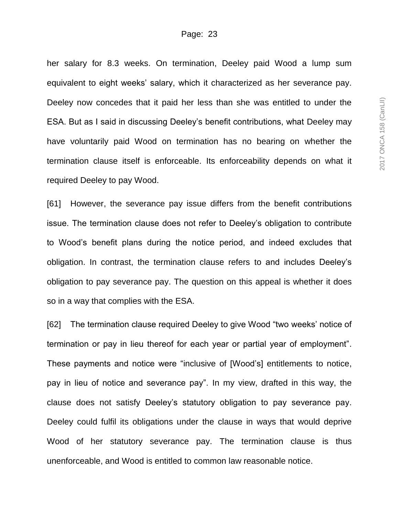her salary for 8.3 weeks. On termination, Deeley paid Wood a lump sum equivalent to eight weeks' salary, which it characterized as her severance pay. Deeley now concedes that it paid her less than she was entitled to under the ESA. But as I said in discussing Deeley's benefit contributions, what Deeley may have voluntarily paid Wood on termination has no bearing on whether the termination clause itself is enforceable. Its enforceability depends on what it required Deeley to pay Wood.

[61] However, the severance pay issue differs from the benefit contributions issue. The termination clause does not refer to Deeley's obligation to contribute to Wood's benefit plans during the notice period, and indeed excludes that obligation. In contrast, the termination clause refers to and includes Deeley's obligation to pay severance pay. The question on this appeal is whether it does so in a way that complies with the ESA.

[62] The termination clause required Deeley to give Wood "two weeks' notice of termination or pay in lieu thereof for each year or partial year of employment". These payments and notice were "inclusive of [Wood's] entitlements to notice, pay in lieu of notice and severance pay". In my view, drafted in this way, the clause does not satisfy Deeley's statutory obligation to pay severance pay. Deeley could fulfil its obligations under the clause in ways that would deprive Wood of her statutory severance pay. The termination clause is thus unenforceable, and Wood is entitled to common law reasonable notice.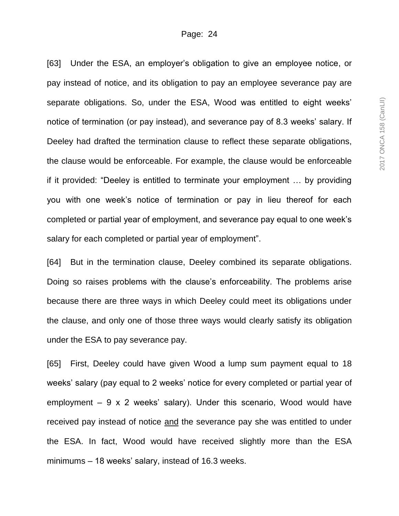[63] Under the ESA, an employer's obligation to give an employee notice, or pay instead of notice, and its obligation to pay an employee severance pay are separate obligations. So, under the ESA, Wood was entitled to eight weeks' notice of termination (or pay instead), and severance pay of 8.3 weeks' salary. If Deeley had drafted the termination clause to reflect these separate obligations, the clause would be enforceable. For example, the clause would be enforceable if it provided: "Deeley is entitled to terminate your employment … by providing you with one week's notice of termination or pay in lieu thereof for each completed or partial year of employment, and severance pay equal to one week's salary for each completed or partial year of employment".

[64] But in the termination clause, Deeley combined its separate obligations. Doing so raises problems with the clause's enforceability. The problems arise because there are three ways in which Deeley could meet its obligations under the clause, and only one of those three ways would clearly satisfy its obligation under the ESA to pay severance pay.

[65] First, Deeley could have given Wood a lump sum payment equal to 18 weeks' salary (pay equal to 2 weeks' notice for every completed or partial year of employment  $-9 \times 2$  weeks' salary). Under this scenario, Wood would have received pay instead of notice and the severance pay she was entitled to under the ESA. In fact, Wood would have received slightly more than the ESA minimums – 18 weeks' salary, instead of 16.3 weeks.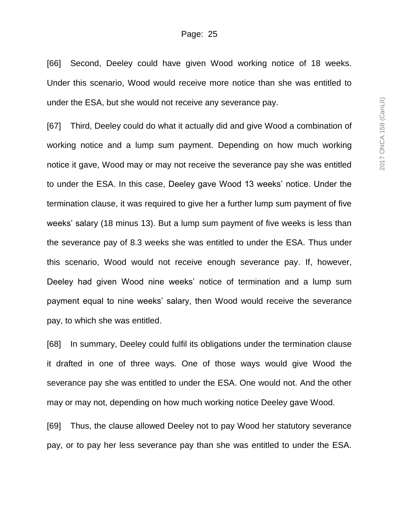[66] Second, Deeley could have given Wood working notice of 18 weeks. Under this scenario, Wood would receive more notice than she was entitled to under the ESA, but she would not receive any severance pay.

[67] Third, Deeley could do what it actually did and give Wood a combination of working notice and a lump sum payment. Depending on how much working notice it gave, Wood may or may not receive the severance pay she was entitled to under the ESA. In this case, Deeley gave Wood 13 weeks' notice. Under the termination clause, it was required to give her a further lump sum payment of five weeks' salary (18 minus 13). But a lump sum payment of five weeks is less than the severance pay of 8.3 weeks she was entitled to under the ESA. Thus under this scenario, Wood would not receive enough severance pay. If, however, Deeley had given Wood nine weeks' notice of termination and a lump sum payment equal to nine weeks' salary, then Wood would receive the severance pay, to which she was entitled.

[68] In summary, Deeley could fulfil its obligations under the termination clause it drafted in one of three ways. One of those ways would give Wood the severance pay she was entitled to under the ESA. One would not. And the other may or may not, depending on how much working notice Deeley gave Wood.

[69] Thus, the clause allowed Deeley not to pay Wood her statutory severance pay, or to pay her less severance pay than she was entitled to under the ESA.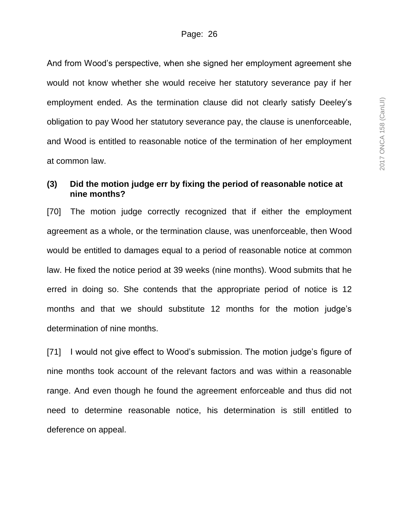And from Wood's perspective, when she signed her employment agreement she would not know whether she would receive her statutory severance pay if her employment ended. As the termination clause did not clearly satisfy Deeley's obligation to pay Wood her statutory severance pay, the clause is unenforceable, and Wood is entitled to reasonable notice of the termination of her employment at common law.

## **(3) Did the motion judge err by fixing the period of reasonable notice at nine months?**

[70] The motion judge correctly recognized that if either the employment agreement as a whole, or the termination clause, was unenforceable, then Wood would be entitled to damages equal to a period of reasonable notice at common law. He fixed the notice period at 39 weeks (nine months). Wood submits that he erred in doing so. She contends that the appropriate period of notice is 12 months and that we should substitute 12 months for the motion judge's determination of nine months.

[71] I would not give effect to Wood's submission. The motion judge's figure of nine months took account of the relevant factors and was within a reasonable range. And even though he found the agreement enforceable and thus did not need to determine reasonable notice, his determination is still entitled to deference on appeal.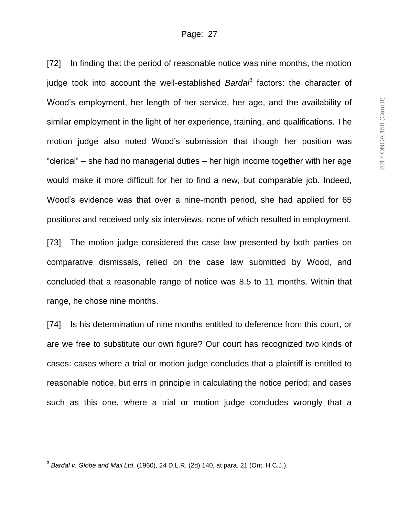[72] In finding that the period of reasonable notice was nine months, the motion judge took into account the well-established *Bardal*<sup>3</sup> factors: the character of Wood's employment, her length of her service, her age, and the availability of similar employment in the light of her experience, training, and qualifications. The motion judge also noted Wood's submission that though her position was "clerical" – she had no managerial duties – her high income together with her age would make it more difficult for her to find a new, but comparable job. Indeed, Wood's evidence was that over a nine-month period, she had applied for 65 positions and received only six interviews, none of which resulted in employment.

[73] The motion judge considered the case law presented by both parties on comparative dismissals, relied on the case law submitted by Wood, and concluded that a reasonable range of notice was 8.5 to 11 months. Within that range, he chose nine months.

[74] Is his determination of nine months entitled to deference from this court, or are we free to substitute our own figure? Our court has recognized two kinds of cases: cases where a trial or motion judge concludes that a plaintiff is entitled to reasonable notice, but errs in principle in calculating the notice period; and cases such as this one, where a trial or motion judge concludes wrongly that a

l

<sup>3</sup> *Bardal v. Globe and Mail Ltd.* (1960), 24 D.L.R. (2d) 140, at para. 21 (Ont. H.C.J.).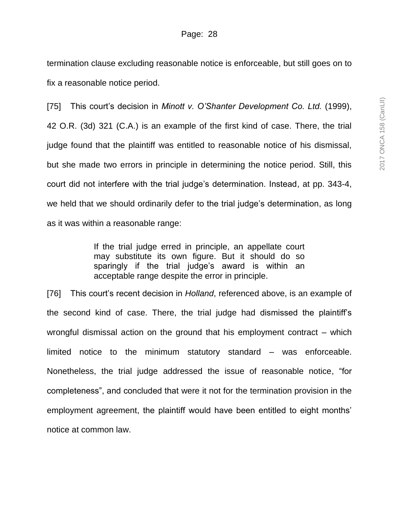termination clause excluding reasonable notice is enforceable, but still goes on to fix a reasonable notice period.

[75] This court's decision in *Minott v. O'Shanter Development Co. Ltd.* (1999), 42 O.R. (3d) 321 (C.A.) is an example of the first kind of case. There, the trial judge found that the plaintiff was entitled to reasonable notice of his dismissal, but she made two errors in principle in determining the notice period. Still, this court did not interfere with the trial judge's determination. Instead, at pp. 343-4, we held that we should ordinarily defer to the trial judge's determination, as long as it was within a reasonable range:

> If the trial judge erred in principle, an appellate court may substitute its own figure. But it should do so sparingly if the trial judge's award is within an acceptable range despite the error in principle.

[76] This court's recent decision in *Holland*, referenced above, is an example of the second kind of case. There, the trial judge had dismissed the plaintiff's wrongful dismissal action on the ground that his employment contract – which limited notice to the minimum statutory standard – was enforceable. Nonetheless, the trial judge addressed the issue of reasonable notice, "for completeness", and concluded that were it not for the termination provision in the employment agreement, the plaintiff would have been entitled to eight months' notice at common law.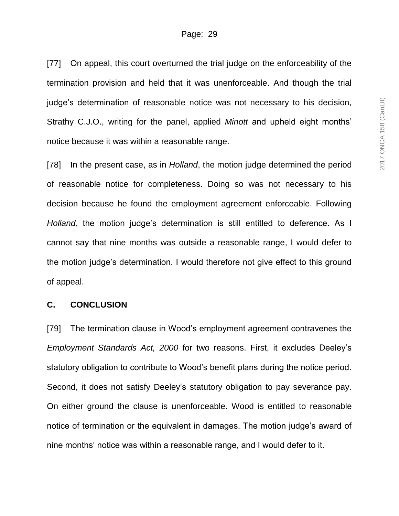[77] On appeal, this court overturned the trial judge on the enforceability of the termination provision and held that it was unenforceable. And though the trial judge's determination of reasonable notice was not necessary to his decision, Strathy C.J.O., writing for the panel, applied *Minott* and upheld eight months' notice because it was within a reasonable range.

[78] In the present case, as in *Holland*, the motion judge determined the period of reasonable notice for completeness. Doing so was not necessary to his decision because he found the employment agreement enforceable. Following *Holland*, the motion judge's determination is still entitled to deference. As I cannot say that nine months was outside a reasonable range, I would defer to the motion judge's determination. I would therefore not give effect to this ground of appeal.

#### **C. CONCLUSION**

[79] The termination clause in Wood's employment agreement contravenes the *Employment Standards Act, 2000* for two reasons. First, it excludes Deeley's statutory obligation to contribute to Wood's benefit plans during the notice period. Second, it does not satisfy Deeley's statutory obligation to pay severance pay. On either ground the clause is unenforceable. Wood is entitled to reasonable notice of termination or the equivalent in damages. The motion judge's award of nine months' notice was within a reasonable range, and I would defer to it.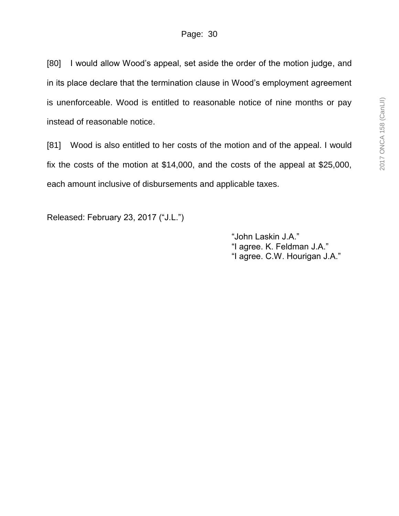[80] I would allow Wood's appeal, set aside the order of the motion judge, and in its place declare that the termination clause in Wood's employment agreement is unenforceable. Wood is entitled to reasonable notice of nine months or pay instead of reasonable notice.

[81] Wood is also entitled to her costs of the motion and of the appeal. I would fix the costs of the motion at \$14,000, and the costs of the appeal at \$25,000, each amount inclusive of disbursements and applicable taxes.

Released: February 23, 2017 ("J.L.")

"John Laskin J.A." "I agree. K. Feldman J.A." "I agree. C.W. Hourigan J.A."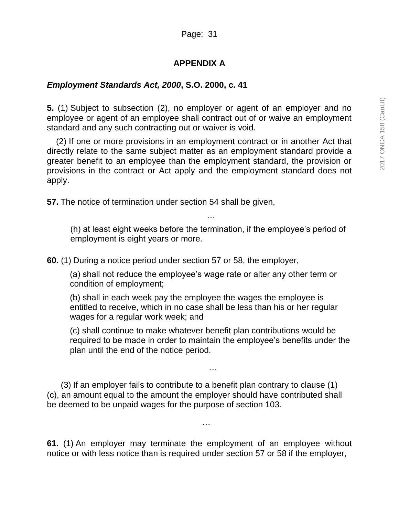# **APPENDIX A**

# *Employment Standards Act, 2000***, S.O. 2000, c. 41**

**5.** (1) Subject to subsection (2), no employer or agent of an employer and no employee or agent of an employee shall contract out of or waive an employment standard and any such contracting out or waiver is void.

(2) If one or more provisions in an employment contract or in another Act that directly relate to the same subject matter as an employment standard provide a greater benefit to an employee than the employment standard, the provision or provisions in the contract or Act apply and the employment standard does not apply.

**57.** The notice of termination under section 54 shall be given,

(h) at least eight weeks before the termination, if the employee's period of employment is eight years or more.

…

**60.** (1) During a notice period under section 57 or 58, the employer,

(a) shall not reduce the employee's wage rate or alter any other term or condition of employment;

(b) shall in each week pay the employee the wages the employee is entitled to receive, which in no case shall be less than his or her regular wages for a regular work week; and

(c) shall continue to make whatever benefit plan contributions would be required to be made in order to maintain the employee's benefits under the plan until the end of the notice period.

…

(3) If an employer fails to contribute to a benefit plan contrary to clause (1) (c), an amount equal to the amount the employer should have contributed shall be deemed to be unpaid wages for the purpose of section 103.

**61.** (1) An employer may terminate the employment of an employee without notice or with less notice than is required under section 57 or 58 if the employer,

…